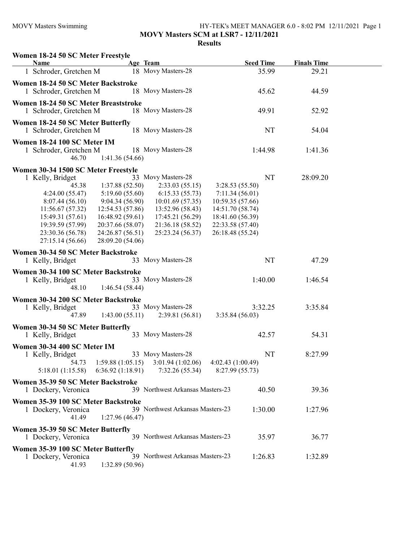## MOVY Masters Swimming HY-TEK's MEET MANAGER 6.0 - 8:02 PM 12/11/2021 Page 1 MOVY Masters SCM at LSR7 - 12/11/2021

| Women 18-24 50 SC Meter Freestyle<br><b>Name</b>                                                                                                                                                        |                                                                                                                                                        | Age Team                                                                                                                                                  | <b>Seed Time</b>                                                                                                                           | <b>Finals Time</b> |  |
|---------------------------------------------------------------------------------------------------------------------------------------------------------------------------------------------------------|--------------------------------------------------------------------------------------------------------------------------------------------------------|-----------------------------------------------------------------------------------------------------------------------------------------------------------|--------------------------------------------------------------------------------------------------------------------------------------------|--------------------|--|
| 1 Schroder, Gretchen M                                                                                                                                                                                  |                                                                                                                                                        | 18 Movy Masters-28                                                                                                                                        | 35.99                                                                                                                                      | 29.21              |  |
| Women 18-24 50 SC Meter Backstroke<br>1 Schroder, Gretchen M                                                                                                                                            |                                                                                                                                                        | 18 Movy Masters-28                                                                                                                                        | 45.62                                                                                                                                      | 44.59              |  |
| Women 18-24 50 SC Meter Breaststroke<br>1 Schroder, Gretchen M                                                                                                                                          |                                                                                                                                                        | 18 Movy Masters-28                                                                                                                                        | 49.91                                                                                                                                      | 52.92              |  |
| Women 18-24 50 SC Meter Butterfly<br>1 Schroder, Gretchen M                                                                                                                                             |                                                                                                                                                        | 18 Movy Masters-28                                                                                                                                        | NT                                                                                                                                         | 54.04              |  |
| Women 18-24 100 SC Meter IM<br>1 Schroder, Gretchen M<br>46.70                                                                                                                                          | 1:41.36(54.66)                                                                                                                                         | 18 Movy Masters-28                                                                                                                                        | 1:44.98                                                                                                                                    | 1:41.36            |  |
| Women 30-34 1500 SC Meter Freestyle<br>1 Kelly, Bridget<br>45.38<br>4:24.00(55.47)<br>8:07.44(56.10)<br>11:56.67(57.32)<br>15:49.31 (57.61)<br>19:39.59 (57.99)<br>23:30.36 (56.78)<br>27:15.14 (56.66) | 1:37.88(52.50)<br>5:19.60 (55.60)<br>9:04.34(56.90)<br>12:54.53 (57.86)<br>16:48.92(59.61)<br>20:37.66 (58.07)<br>24:26.87 (56.51)<br>28:09.20 (54.06) | 33 Movy Masters-28<br>2:33.03(55.15)<br>6:15.33(55.73)<br>10:01.69(57.35)<br>13:52.96 (58.43)<br>17:45.21 (56.29)<br>21:36.18 (58.52)<br>25:23.24 (56.37) | NT<br>3:28.53(55.50)<br>7:11.34(56.01)<br>10:59.35 (57.66)<br>14:51.70 (58.74)<br>18:41.60 (56.39)<br>22:33.58 (57.40)<br>26:18.48 (55.24) | 28:09.20           |  |
| Women 30-34 50 SC Meter Backstroke<br>1 Kelly, Bridget                                                                                                                                                  |                                                                                                                                                        | 33 Movy Masters-28                                                                                                                                        | NT                                                                                                                                         | 47.29              |  |
| Women 30-34 100 SC Meter Backstroke<br>1 Kelly, Bridget<br>48.10                                                                                                                                        | 1:46.54(58.44)                                                                                                                                         | 33 Movy Masters-28                                                                                                                                        | 1:40.00                                                                                                                                    | 1:46.54            |  |
| Women 30-34 200 SC Meter Backstroke<br>1 Kelly, Bridget<br>47.89                                                                                                                                        | 1:43.00(55.11)                                                                                                                                         | 33 Movy Masters-28<br>2:39.81(56.81)                                                                                                                      | 3:32.25<br>3:35.84(56.03)                                                                                                                  | 3:35.84            |  |
| Women 30-34 50 SC Meter Butterfly<br>1 Kelly, Bridget                                                                                                                                                   |                                                                                                                                                        | 33 Movy Masters-28                                                                                                                                        | 42.57                                                                                                                                      | 54.31              |  |
| Women 30-34 400 SC Meter IM<br>1 Kelly, Bridget<br>54.73<br>5:18.01 (1:15.58)                                                                                                                           | 1:59.88(1:05.15)<br>6:36.92(1:18.91)                                                                                                                   | 33 Movy Masters-28<br>3:01.94(1:02.06)<br>7:32.26(55.34)                                                                                                  | NT<br>4:02.43(1:00.49)<br>8:27.99 (55.73)                                                                                                  | 8:27.99            |  |
| Women 35-39 50 SC Meter Backstroke<br>1 Dockery, Veronica                                                                                                                                               |                                                                                                                                                        | 39 Northwest Arkansas Masters-23                                                                                                                          | 40.50                                                                                                                                      | 39.36              |  |
| Women 35-39 100 SC Meter Backstroke<br>1 Dockery, Veronica<br>41.49                                                                                                                                     | 1:27.96(46.47)                                                                                                                                         | 39 Northwest Arkansas Masters-23                                                                                                                          | 1:30.00                                                                                                                                    | 1:27.96            |  |
| Women 35-39 50 SC Meter Butterfly<br>1 Dockery, Veronica                                                                                                                                                |                                                                                                                                                        | 39 Northwest Arkansas Masters-23                                                                                                                          | 35.97                                                                                                                                      | 36.77              |  |
| Women 35-39 100 SC Meter Butterfly<br>1 Dockery, Veronica<br>41.93                                                                                                                                      | 1:32.89 (50.96)                                                                                                                                        | 39 Northwest Arkansas Masters-23                                                                                                                          | 1:26.83                                                                                                                                    | 1:32.89            |  |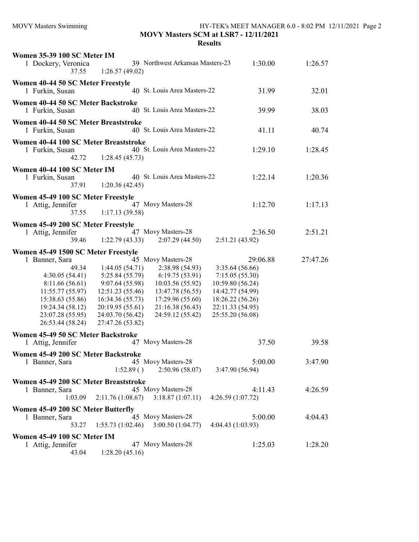| Women 35-39 100 SC Meter IM<br>1 Dockery, Veronica<br>37.55                                                                                                                                            | 1:26.57(49.02)                                                                                                                                           | 39 Northwest Arkansas Masters-23                                                                                                                            | 1:30.00                                                                                                                                          | 1:26.57  |
|--------------------------------------------------------------------------------------------------------------------------------------------------------------------------------------------------------|----------------------------------------------------------------------------------------------------------------------------------------------------------|-------------------------------------------------------------------------------------------------------------------------------------------------------------|--------------------------------------------------------------------------------------------------------------------------------------------------|----------|
| Women 40-44 50 SC Meter Freestyle<br>1 Furkin, Susan                                                                                                                                                   |                                                                                                                                                          | 40 St. Louis Area Masters-22                                                                                                                                | 31.99                                                                                                                                            | 32.01    |
| Women 40-44 50 SC Meter Backstroke<br>1 Furkin, Susan                                                                                                                                                  |                                                                                                                                                          | 40 St. Louis Area Masters-22                                                                                                                                | 39.99                                                                                                                                            | 38.03    |
| Women 40-44 50 SC Meter Breaststroke<br>1 Furkin, Susan                                                                                                                                                |                                                                                                                                                          | 40 St. Louis Area Masters-22                                                                                                                                | 41.11                                                                                                                                            | 40.74    |
| Women 40-44 100 SC Meter Breaststroke<br>1 Furkin, Susan<br>42.72                                                                                                                                      | 1:28.45(45.73)                                                                                                                                           | 40 St. Louis Area Masters-22                                                                                                                                | 1:29.10                                                                                                                                          | 1:28.45  |
| Women 40-44 100 SC Meter IM<br>1 Furkin, Susan<br>37.91                                                                                                                                                | 1:20.36(42.45)                                                                                                                                           | 40 St. Louis Area Masters-22                                                                                                                                | 1:22.14                                                                                                                                          | 1:20.36  |
| Women 45-49 100 SC Meter Freestyle<br>1 Attig, Jennifer<br>37.55                                                                                                                                       | 1:17.13(39.58)                                                                                                                                           | 47 Movy Masters-28                                                                                                                                          | 1:12.70                                                                                                                                          | 1:17.13  |
| Women 45-49 200 SC Meter Freestyle<br>1 Attig, Jennifer<br>39.46                                                                                                                                       | 1:22.79(43.33)                                                                                                                                           | 47 Movy Masters-28<br>2:07.29(44.50)                                                                                                                        | 2:36.50<br>2:51.21 (43.92)                                                                                                                       | 2:51.21  |
| Women 45-49 1500 SC Meter Freestyle<br>1 Banner, Sara<br>49.34<br>4:30.05(54.41)<br>8:11.66 (56.61)<br>11:55.77(55.97)<br>15:38.63 (55.86)<br>19:24.34 (58.12)<br>23:07.28 (55.95)<br>26:53.44 (58.24) | 1:44.05(54.71)<br>5:25.84 (55.79)<br>9:07.64 (55.98)<br>12:51.23 (55.46)<br>16:34.36 (55.73)<br>20:19.95 (55.61)<br>24:03.70 (56.42)<br>27:47.26 (53.82) | 45 Movy Masters-28<br>2:38.98 (54.93)<br>6:19.75(53.91)<br>10:03.56 (55.92)<br>13:47.78 (56.55)<br>17:29.96 (55.60)<br>21:16.38 (56.43)<br>24:59.12 (55.42) | 29:06.88<br>3:35.64(56.66)<br>7:15.05(55.30)<br>10:59.80 (56.24)<br>14:42.77 (54.99)<br>18:26.22 (56.26)<br>22:11.33 (54.95)<br>25:55.20 (56.08) | 27:47.26 |
| Women 45-49 50 SC Meter Backstroke<br>1 Attig, Jennifer                                                                                                                                                |                                                                                                                                                          | 47 Movy Masters-28                                                                                                                                          | 37.50                                                                                                                                            | 39.58    |
| Women 45-49 200 SC Meter Backstroke<br>1 Banner, Sara                                                                                                                                                  | 1:52.89()                                                                                                                                                | 45 Movy Masters-28<br>2:50.96(58.07)                                                                                                                        | 5:00.00<br>3:47.90 (56.94)                                                                                                                       | 3:47.90  |
| Women 45-49 200 SC Meter Breaststroke<br>1 Banner, Sara<br>1:03.09                                                                                                                                     |                                                                                                                                                          | 45 Movy Masters-28<br>$2:11.76(1:08.67)$ $3:18.87(1:07.11)$                                                                                                 | 4:11.43<br>4:26.59(1:07.72)                                                                                                                      | 4:26.59  |
| Women 45-49 200 SC Meter Butterfly<br>1 Banner, Sara<br>53.27                                                                                                                                          | 1:55.73(1:02.46)                                                                                                                                         | 45 Movy Masters-28<br>3:00.50(1:04.77)                                                                                                                      | 5:00.00<br>4:04.43(1:03.93)                                                                                                                      | 4:04.43  |
| Women 45-49 100 SC Meter IM<br>1 Attig, Jennifer<br>43.04                                                                                                                                              | 1:28.20(45.16)                                                                                                                                           | 47 Movy Masters-28                                                                                                                                          | 1:25.03                                                                                                                                          | 1:28.20  |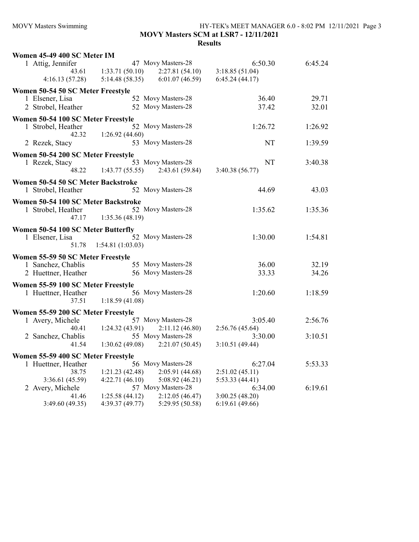## MOVY Masters Swimming HY-TEK's MEET MANAGER 6.0 - 8:02 PM 12/11/2021 Page 3 MOVY Masters SCM at LSR7 - 12/11/2021 Results

| Women 45-49 400 SC Meter IM                              |                                   |                    |                 |         |
|----------------------------------------------------------|-----------------------------------|--------------------|-----------------|---------|
| 1 Attig, Jennifer                                        |                                   | 47 Movy Masters-28 | 6:50.30         | 6:45.24 |
|                                                          | $43.61 \qquad 1:33.71(50.10)$     | 2:27.81 (54.10)    | 3:18.85(51.04)  |         |
| 4:16.13(57.28)                                           | 5:14.48(58.35)                    | 6:01.07(46.59)     | 6:45.24(44.17)  |         |
| Women 50-54 50 SC Meter Freestyle                        |                                   |                    |                 |         |
| 1 Elsener, Lisa                                          |                                   | 52 Movy Masters-28 | 36.40           | 29.71   |
| 2 Strobel, Heather                                       |                                   | 52 Movy Masters-28 | 37.42           | 32.01   |
| Women 50-54 100 SC Meter Freestyle                       |                                   |                    |                 |         |
| 1 Strobel, Heather                                       |                                   | 52 Movy Masters-28 | 1:26.72         | 1:26.92 |
| 42.32                                                    | 1:26.92(44.60)                    |                    |                 |         |
| 2 Rezek, Stacy                                           |                                   | 53 Movy Masters-28 | NT              | 1:39.59 |
| Women 50-54 200 SC Meter Freestyle                       |                                   |                    |                 |         |
| 1 Rezek, Stacy                                           |                                   | 53 Movy Masters-28 | <b>NT</b>       | 3:40.38 |
| 48.22                                                    | 1:43.77(55.55)                    | 2:43.61(59.84)     | 3:40.38 (56.77) |         |
|                                                          |                                   |                    |                 |         |
| Women 50-54 50 SC Meter Backstroke<br>1 Strobel, Heather |                                   | 52 Movy Masters-28 | 44.69           | 43.03   |
|                                                          |                                   |                    |                 |         |
| Women 50-54 100 SC Meter Backstroke                      |                                   |                    |                 |         |
| 1 Strobel, Heather                                       |                                   | 52 Movy Masters-28 | 1:35.62         | 1:35.36 |
| 47.17                                                    | 1:35.36(48.19)                    |                    |                 |         |
| Women 50-54 100 SC Meter Butterfly                       |                                   |                    |                 |         |
| 1 Elsener, Lisa                                          |                                   | 52 Movy Masters-28 | 1:30.00         | 1:54.81 |
|                                                          | 51.78 1:54.81 (1:03.03)           |                    |                 |         |
| Women 55-59 50 SC Meter Freestyle                        |                                   |                    |                 |         |
| 1 Sanchez, Chablis                                       |                                   | 55 Movy Masters-28 | 36.00           | 32.19   |
| 2 Huettner, Heather                                      | 56 Movy Masters-28                |                    | 33.33           | 34.26   |
| Women 55-59 100 SC Meter Freestyle                       |                                   |                    |                 |         |
| 1 Huettner, Heather                                      |                                   | 56 Movy Masters-28 | 1:20.60         | 1:18.59 |
| 37.51                                                    | 1:18.59(41.08)                    |                    |                 |         |
| Women 55-59 200 SC Meter Freestyle                       |                                   |                    |                 |         |
| 1 Avery, Michele                                         |                                   | 57 Movy Masters-28 | 3:05.40         | 2:56.76 |
| 40.41                                                    | 1:24.32(43.91)                    | 2:11.12(46.80)     | 2:56.76(45.64)  |         |
| 2 Sanchez, Chablis                                       |                                   | 55 Movy Masters-28 | 3:30.00         | 3:10.51 |
| 41.54                                                    | $1:30.62(49.08)$ $2:21.07(50.45)$ |                    | 3:10.51(49.44)  |         |
| Women 55-59 400 SC Meter Freestyle                       |                                   |                    |                 |         |
| 1 Huettner, Heather                                      |                                   | 56 Movy Masters-28 | 6:27.04         | 5:53.33 |
| 38.75                                                    | 1:21.23(42.48)                    | 2:05.91(44.68)     | 2:51.02(45.11)  |         |
| 3:36.61(45.59)                                           | 4:22.71(46.10)                    | 5:08.92(46.21)     | 5:53.33(44.41)  |         |
| 2 Avery, Michele                                         |                                   | 57 Movy Masters-28 | 6:34.00         | 6:19.61 |
| 41.46                                                    | 1:25.58(44.12)                    | 2:12.05(46.47)     | 3:00.25(48.20)  |         |
| 3:49.60 (49.35)                                          | 4:39.37(49.77)                    | 5:29.95 (50.58)    | 6:19.61(49.66)  |         |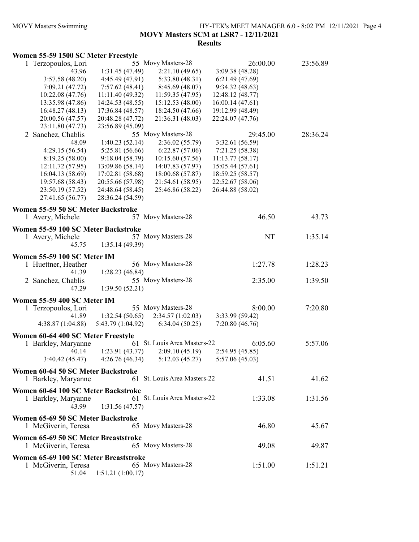## MOVY Masters Swimming HY-TEK's MEET MANAGER 6.0 - 8:02 PM 12/11/2021 Page 4 MOVY Masters SCM at LSR7 - 12/11/2021 Results

#### Women 55-59 1500 SC Meter Freestyle

| 1 Terzopoulos, Lori                   |                   | 55 Movy Masters-28           | 26:00.00         | 23:56.89 |
|---------------------------------------|-------------------|------------------------------|------------------|----------|
| 43.96                                 | 1:31.45(47.49)    | 2:21.10(49.65)               | 3:09.38 (48.28)  |          |
| 3:57.58(48.20)                        | 4:45.49 (47.91)   | 5:33.80 (48.31)              | 6:21.49(47.69)   |          |
| 7:09.21 (47.72)                       | 7:57.62(48.41)    | 8:45.69 (48.07)              | 9:34.32(48.63)   |          |
| 10:22.08 (47.76)                      | 11:11.40(49.32)   | 11:59.35(47.95)              | 12:48.12 (48.77) |          |
| 13:35.98 (47.86)                      | 14:24.53 (48.55)  | 15:12.53 (48.00)             | 16:00.14(47.61)  |          |
| 16:48.27(48.13)                       | 17:36.84 (48.57)  | 18:24.50 (47.66)             | 19:12.99 (48.49) |          |
| 20:00.56 (47.57)                      | 20:48.28 (47.72)  | 21:36.31 (48.03)             | 22:24.07 (47.76) |          |
| 23:11.80 (47.73)                      | 23:56.89 (45.09)  |                              |                  |          |
| 2 Sanchez, Chablis                    |                   | 55 Movy Masters-28           | 29:45.00         | 28:36.24 |
| 48.09                                 | 1:40.23(52.14)    | 2:36.02(55.79)               | 3:32.61 (56.59)  |          |
| 4:29.15(56.54)                        | 5:25.81 (56.66)   | 6:22.87(57.06)               | 7:21.25(58.38)   |          |
| 8:19.25(58.00)                        | 9:18.04(58.79)    | 10:15.60 (57.56)             | 11:13.77(58.17)  |          |
| 12:11.72 (57.95)                      | 13:09.86 (58.14)  | 14:07.83 (57.97)             | 15:05.44(57.61)  |          |
| 16:04.13 (58.69)                      | 17:02.81 (58.68)  | 18:00.68 (57.87)             | 18:59.25 (58.57) |          |
| 19:57.68 (58.43)                      | 20:55.66 (57.98)  | 21:54.61 (58.95)             | 22:52.67 (58.06) |          |
| 23:50.19 (57.52)                      | 24:48.64 (58.45)  | 25:46.86 (58.22)             | 26:44.88 (58.02) |          |
| 27:41.65 (56.77)                      | 28:36.24 (54.59)  |                              |                  |          |
|                                       |                   |                              |                  |          |
| Women 55-59 50 SC Meter Backstroke    |                   | 57 Movy Masters-28           | 46.50            |          |
| 1 Avery, Michele                      |                   |                              |                  | 43.73    |
| Women 55-59 100 SC Meter Backstroke   |                   |                              |                  |          |
| 1 Avery, Michele                      |                   | 57 Movy Masters-28           | NT               | 1:35.14  |
| 45.75                                 | 1:35.14(49.39)    |                              |                  |          |
| Women 55-59 100 SC Meter IM           |                   |                              |                  |          |
|                                       |                   | 56 Movy Masters-28           |                  |          |
| 1 Huettner, Heather                   |                   |                              | 1:27.78          | 1:28.23  |
| 41.39                                 | 1:28.23(46.84)    |                              |                  |          |
| 2 Sanchez, Chablis                    |                   | 55 Movy Masters-28           | 2:35.00          | 1:39.50  |
| 47.29                                 | 1:39.50(52.21)    |                              |                  |          |
| Women 55-59 400 SC Meter IM           |                   |                              |                  |          |
| 1 Terzopoulos, Lori                   |                   | 55 Movy Masters-28           | 8:00.00          | 7:20.80  |
| 41.89                                 | 1:32.54(50.65)    | 2:34.57(1:02.03)             | 3:33.99 (59.42)  |          |
| 4:38.87(1:04.88)                      | 5:43.79 (1:04.92) | 6:34.04(50.25)               | 7:20.80(46.76)   |          |
|                                       |                   |                              |                  |          |
| Women 60-64 400 SC Meter Freestyle    |                   |                              |                  |          |
| 1 Barkley, Maryanne                   |                   | 61 St. Louis Area Masters-22 | 6:05.60          | 5:57.06  |
| 40.14                                 | 1:23.91(43.77)    | 2:09.10(45.19)               | 2:54.95(45.85)   |          |
| 3:40.42(45.47)                        | 4:26.76(46.34)    | 5:12.03(45.27)               | 5:57.06 (45.03)  |          |
| Women 60-64 50 SC Meter Backstroke    |                   |                              |                  |          |
| 1 Barkley, Maryanne                   |                   | 61 St. Louis Area Masters-22 | 41.51            | 41.62    |
|                                       |                   |                              |                  |          |
| Women 60-64 100 SC Meter Backstroke   |                   |                              |                  |          |
| 1 Barkley, Maryanne                   |                   | 61 St. Louis Area Masters-22 | 1:33.08          | 1:31.56  |
| 43.99                                 | 1:31.56(47.57)    |                              |                  |          |
| Women 65-69 50 SC Meter Backstroke    |                   |                              |                  |          |
| 1 McGiverin, Teresa                   |                   | 65 Movy Masters-28           | 46.80            | 45.67    |
|                                       |                   |                              |                  |          |
| Women 65-69 50 SC Meter Breaststroke  |                   |                              |                  |          |
| 1 McGiverin, Teresa                   |                   | 65 Movy Masters-28           | 49.08            | 49.87    |
| Women 65-69 100 SC Meter Breaststroke |                   |                              |                  |          |
| 1 McGiverin, Teresa                   |                   | 65 Movy Masters-28           | 1:51.00          | 1:51.21  |
| 51.04                                 | 1:51.21(1:00.17)  |                              |                  |          |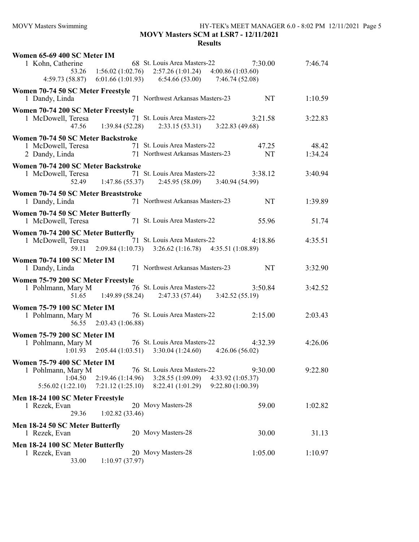# MOVY Masters Swimming HY-TEK's MEET MANAGER 6.0 - 8:02 PM 12/11/2021 Page 5 MOVY Masters SCM at LSR7 - 12/11/2021

| 7:46.74 |
|---------|
|         |
|         |
|         |
| 1:10.59 |
|         |
| 3:22.83 |
|         |
|         |
| 48.42   |
| 1:34.24 |
|         |
| 3:40.94 |
|         |
|         |
| 1:39.89 |
|         |
| 51.74   |
|         |
|         |
| 4:35.51 |
|         |
|         |
|         |
| 3:32.90 |
|         |
| 3:42.52 |
|         |
|         |
| 2:03.43 |
|         |
|         |
| 4:26.06 |
|         |
|         |
|         |
| 9:22.80 |
|         |
|         |
| 1:02.82 |
|         |
|         |
|         |
| 31.13   |
| 1:10.97 |
|         |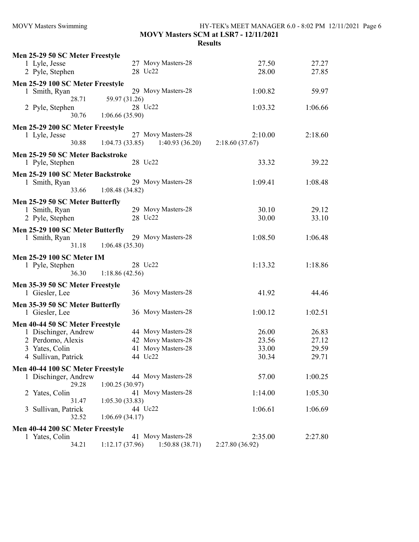| <b>MOVY Masters Swimming</b>              | HY-TEK's MEET MANAGER 6.0 - 8:02 PM 12/11/2021 Page 6<br>MOVY Masters SCM at LSR7 - 12/11/2021<br><b>Results</b> |                 |         |  |
|-------------------------------------------|------------------------------------------------------------------------------------------------------------------|-----------------|---------|--|
| Men 25-29 50 SC Meter Freestyle           |                                                                                                                  |                 |         |  |
| 1 Lyle, Jesse                             | 27 Movy Masters-28                                                                                               | 27.50           | 27.27   |  |
| 2 Pyle, Stephen                           | 28 Uc22                                                                                                          | 28.00           | 27.85   |  |
|                                           |                                                                                                                  |                 |         |  |
| Men 25-29 100 SC Meter Freestyle          |                                                                                                                  |                 |         |  |
| 1 Smith, Ryan<br>28.71                    | 29 Movy Masters-28                                                                                               | 1:00.82         | 59.97   |  |
| 2 Pyle, Stephen                           | 59.97 (31.26)<br>28 Uc22                                                                                         | 1:03.32         | 1:06.66 |  |
| 30.76                                     | 1:06.66(35.90)                                                                                                   |                 |         |  |
|                                           |                                                                                                                  |                 |         |  |
| Men 25-29 200 SC Meter Freestyle          |                                                                                                                  |                 |         |  |
| 1 Lyle, Jesse                             | 27 Movy Masters-28                                                                                               | 2:10.00         | 2:18.60 |  |
| 30.88                                     | 1:04.73(33.85)<br>1:40.93(36.20)                                                                                 | 2:18.60(37.67)  |         |  |
| Men 25-29 50 SC Meter Backstroke          |                                                                                                                  |                 |         |  |
| 1 Pyle, Stephen                           | 28 Uc22                                                                                                          | 33.32           | 39.22   |  |
| Men 25-29 100 SC Meter Backstroke         |                                                                                                                  |                 |         |  |
| 1 Smith, Ryan                             | 29 Movy Masters-28                                                                                               | 1:09.41         | 1:08.48 |  |
| 33.66                                     | 1:08.48(34.82)                                                                                                   |                 |         |  |
| Men 25-29 50 SC Meter Butterfly           |                                                                                                                  |                 |         |  |
| 1 Smith, Ryan                             | 29 Movy Masters-28                                                                                               | 30.10           | 29.12   |  |
| 2 Pyle, Stephen                           | 28 Uc22                                                                                                          | 30.00           | 33.10   |  |
|                                           |                                                                                                                  |                 |         |  |
| Men 25-29 100 SC Meter Butterfly          | 29 Movy Masters-28                                                                                               |                 |         |  |
| 1 Smith, Ryan<br>31.18                    | 1:06.48(35.30)                                                                                                   | 1:08.50         | 1:06.48 |  |
|                                           |                                                                                                                  |                 |         |  |
| <b>Men 25-29 100 SC Meter IM</b>          |                                                                                                                  |                 |         |  |
| 1 Pyle, Stephen                           | 28 Uc22                                                                                                          | 1:13.32         | 1:18.86 |  |
| 36.30                                     | 1:18.86(42.56)                                                                                                   |                 |         |  |
| Men 35-39 50 SC Meter Freestyle           |                                                                                                                  |                 |         |  |
| 1 Giesler, Lee                            | 36 Movy Masters-28                                                                                               | 41.92           | 44.46   |  |
| Men 35-39 50 SC Meter Butterfly           |                                                                                                                  |                 |         |  |
| 1 Giesler, Lee                            | 36 Movy Masters-28                                                                                               | 1:00.12         | 1:02.51 |  |
|                                           |                                                                                                                  |                 |         |  |
| Men 40-44 50 SC Meter Freestyle           | 44 Movy Masters-28                                                                                               | 26.00           | 26.83   |  |
| 1 Dischinger, Andrew<br>2 Perdomo, Alexis | 42 Movy Masters-28                                                                                               | 23.56           | 27.12   |  |
| 3 Yates, Colin                            | 41 Movy Masters-28                                                                                               | 33.00           | 29.59   |  |
| 4 Sullivan, Patrick                       | 44 Uc22                                                                                                          | 30.34           | 29.71   |  |
|                                           |                                                                                                                  |                 |         |  |
| Men 40-44 100 SC Meter Freestyle          |                                                                                                                  |                 |         |  |
| 1 Dischinger, Andrew                      | 44 Movy Masters-28                                                                                               | 57.00           | 1:00.25 |  |
| 29.28                                     | 1:00.25(30.97)<br>41 Movy Masters-28                                                                             |                 |         |  |
| 2 Yates, Colin                            |                                                                                                                  | 1:14.00         | 1:05.30 |  |
| 31.47<br>3 Sullivan, Patrick              | 1:05.30(33.83)<br>44 Uc22                                                                                        | 1:06.61         | 1:06.69 |  |
| 32.52                                     | 1:06.69(34.17)                                                                                                   |                 |         |  |
|                                           |                                                                                                                  |                 |         |  |
| Men 40-44 200 SC Meter Freestyle          |                                                                                                                  |                 |         |  |
| 1 Yates, Colin                            | 41 Movy Masters-28                                                                                               | 2:35.00         | 2:27.80 |  |
| 34.21                                     | 1:50.88(38.71)<br>1:12.17(37.96)                                                                                 | 2:27.80 (36.92) |         |  |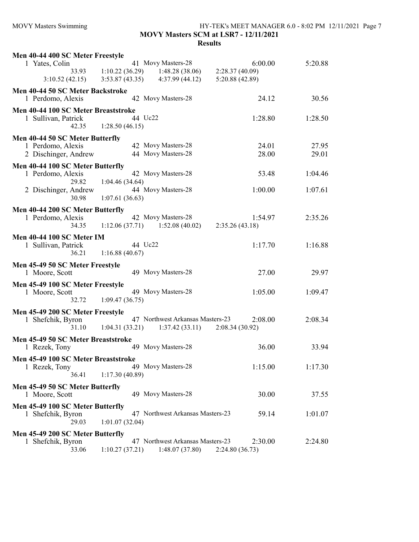# MOVY Masters Swimming HY-TEK's MEET MANAGER 6.0 - 8:02 PM 12/11/2021 Page 7 MOVY Masters SCM at LSR7 - 12/11/2021

| Men 40-44 400 SC Meter Freestyle                     |                       |                                                    |                           |         |
|------------------------------------------------------|-----------------------|----------------------------------------------------|---------------------------|---------|
| 1 Yates, Colin                                       |                       | 41 Movy Masters-28                                 | 6:00.00                   | 5:20.88 |
|                                                      |                       | 33.93 1:10.22 (36.29) 1:48.28 (38.06)              | 2:28.37(40.09)            |         |
| 3:10.52(42.15)                                       |                       | $3:53.87(43.35)$ $4:37.99(44.12)$                  | 5:20.88(42.89)            |         |
| Men 40-44 50 SC Meter Backstroke                     |                       |                                                    |                           |         |
| 1 Perdomo, Alexis                                    |                       | 42 Movy Masters-28                                 | 24.12                     | 30.56   |
| Men 40-44 100 SC Meter Breaststroke                  |                       |                                                    |                           |         |
| 1 Sullivan, Patrick                                  |                       | 44 Uc22                                            | 1:28.80                   | 1:28.50 |
| 42.35                                                | 1:28.50(46.15)        |                                                    |                           |         |
| Men 40-44 50 SC Meter Butterfly                      |                       |                                                    |                           |         |
| 1 Perdomo, Alexis                                    |                       | 42 Movy Masters-28                                 | 24.01                     | 27.95   |
| 2 Dischinger, Andrew                                 |                       | 44 Movy Masters-28                                 | 28.00                     | 29.01   |
| Men 40-44 100 SC Meter Butterfly                     |                       |                                                    |                           |         |
| 1 Perdomo, Alexis                                    |                       | 42 Movy Masters-28                                 | 53.48                     | 1:04.46 |
|                                                      | 29.82 1:04.46 (34.64) |                                                    |                           |         |
| 2 Dischinger, Andrew                                 |                       | 44 Movy Masters-28                                 | 1:00.00                   | 1:07.61 |
| 30.98                                                | 1:07.61(36.63)        |                                                    |                           |         |
| Men 40-44 200 SC Meter Butterfly                     |                       |                                                    |                           |         |
| 1 Perdomo, Alexis                                    |                       | 42 Movy Masters-28                                 | 1:54.97                   | 2:35.26 |
| 34.35                                                |                       | $1:12.06(37.71)$ $1:52.08(40.02)$                  | 2:35.26(43.18)            |         |
| <b>Men 40-44 100 SC Meter IM</b>                     |                       |                                                    |                           |         |
| 1 Sullivan, Patrick                                  |                       | 44 Uc22                                            | 1:17.70                   | 1:16.88 |
| 36.21                                                | 1:16.88(40.67)        |                                                    |                           |         |
| Men 45-49 50 SC Meter Freestyle                      |                       |                                                    |                           |         |
| 1 Moore, Scott                                       |                       | 49 Movy Masters-28                                 | 27.00                     | 29.97   |
| Men 45-49 100 SC Meter Freestyle                     |                       |                                                    |                           |         |
| 1 Moore, Scott                                       |                       | 49 Movy Masters-28                                 | 1:05.00                   | 1:09.47 |
| 32.72                                                | 1:09.47(36.75)        |                                                    |                           |         |
| Men 45-49 200 SC Meter Freestyle                     |                       |                                                    |                           |         |
| 1 Shefchik, Byron                                    |                       | 47 Northwest Arkansas Masters-23                   | 2:08.00                   | 2:08.34 |
| 31.10                                                |                       | $1:04.31(33.21)$ $1:37.42(33.11)$                  | 2:08.34(30.92)            |         |
| Men 45-49 50 SC Meter Breaststroke                   |                       |                                                    |                           |         |
| 1 Rezek, Tony                                        |                       | 49 Movy Masters-28                                 | 36.00                     | 33.94   |
|                                                      |                       |                                                    |                           |         |
| Men 45-49 100 SC Meter Breaststroke<br>1 Rezek, Tony |                       | 49 Movy Masters-28                                 | 1:15.00                   | 1:17.30 |
| 36.41                                                | 1:17.30(40.89)        |                                                    |                           |         |
|                                                      |                       |                                                    |                           |         |
| Men 45-49 50 SC Meter Butterfly<br>1 Moore, Scott    |                       | 49 Movy Masters-28                                 | 30.00                     | 37.55   |
|                                                      |                       |                                                    |                           |         |
| Men 45-49 100 SC Meter Butterfly                     |                       | 47 Northwest Arkansas Masters-23                   |                           |         |
| 1 Shefchik, Byron<br>29.03                           |                       |                                                    | 59.14                     | 1:01.07 |
|                                                      | 1:01.07(32.04)        |                                                    |                           |         |
| Men 45-49 200 SC Meter Butterfly                     |                       |                                                    |                           |         |
| 1 Shefchik, Byron<br>33.06                           | 1:10.27(37.21)        | 47 Northwest Arkansas Masters-23<br>1:48.07(37.80) | 2:30.00<br>2:24.80(36.73) | 2:24.80 |
|                                                      |                       |                                                    |                           |         |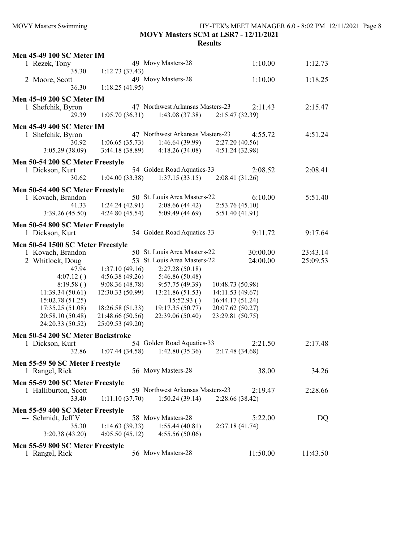## MOVY Masters Swimming HY-TEK's MEET MANAGER 6.0 - 8:02 PM 12/11/2021 Page 8 MOVY Masters SCM at LSR7 - 12/11/2021 Results

| <b>Men 45-49 100 SC Meter IM</b>  |                  |                                  |                  |          |
|-----------------------------------|------------------|----------------------------------|------------------|----------|
| 1 Rezek, Tony                     |                  | 49 Movy Masters-28               | 1:10.00          | 1:12.73  |
| 35.30                             | 1:12.73(37.43)   |                                  |                  |          |
| 2 Moore, Scott                    |                  | 49 Movy Masters-28               | 1:10.00          | 1:18.25  |
| 36.30                             | 1:18.25(41.95)   |                                  |                  |          |
|                                   |                  |                                  |                  |          |
| <b>Men 45-49 200 SC Meter IM</b>  |                  |                                  |                  |          |
| 1 Shefchik, Byron                 |                  | 47 Northwest Arkansas Masters-23 | 2:11.43          | 2:15.47  |
| 29.39                             | 1:05.70(36.31)   | 1:43.08(37.38)                   | 2:15.47 (32.39)  |          |
| <b>Men 45-49 400 SC Meter IM</b>  |                  |                                  |                  |          |
| 1 Shefchik, Byron                 |                  | 47 Northwest Arkansas Masters-23 | 4:55.72          | 4:51.24  |
| 30.92                             | 1:06.65(35.73)   | 1:46.64(39.99)                   | 2:27.20(40.56)   |          |
| 3:05.29(38.09)                    | 3:44.18(38.89)   | 4:18.26(34.08)                   | 4:51.24 (32.98)  |          |
|                                   |                  |                                  |                  |          |
| Men 50-54 200 SC Meter Freestyle  |                  |                                  |                  |          |
| 1 Dickson, Kurt                   |                  | 54 Golden Road Aquatics-33       | 2:08.52          | 2:08.41  |
| 30.62                             | 1:04.00(33.38)   | 1:37.15(33.15)                   | 2:08.41(31.26)   |          |
| Men 50-54 400 SC Meter Freestyle  |                  |                                  |                  |          |
| 1 Kovach, Brandon                 |                  | 50 St. Louis Area Masters-22     | 6:10.00          | 5:51.40  |
| 41.33                             | 1:24.24(42.91)   | 2:08.66(44.42)                   | 2:53.76(45.10)   |          |
| 3:39.26(45.50)                    | 4:24.80(45.54)   | 5:09.49(44.69)                   | 5:51.40 (41.91)  |          |
| Men 50-54 800 SC Meter Freestyle  |                  |                                  |                  |          |
| 1 Dickson, Kurt                   |                  | 54 Golden Road Aquatics-33       | 9:11.72          | 9:17.64  |
|                                   |                  |                                  |                  |          |
| Men 50-54 1500 SC Meter Freestyle |                  |                                  |                  |          |
| 1 Kovach, Brandon                 |                  | 50 St. Louis Area Masters-22     | 30:00.00         | 23:43.14 |
| 2 Whitlock, Doug                  |                  | 53 St. Louis Area Masters-22     | 24:00.00         | 25:09.53 |
| 47.94                             | 1:37.10(49.16)   | 2:27.28(50.18)                   |                  |          |
| 4:07.12()                         | 4:56.38(49.26)   | 5:46.86 (50.48)                  |                  |          |
| 8:19.58()                         | 9:08.36(48.78)   | 9:57.75(49.39)                   | 10:48.73 (50.98) |          |
| 11:39.34(50.61)                   | 12:30.33 (50.99) | 13:21.86 (51.53)                 | 14:11.53 (49.67) |          |
| 15:02.78 (51.25)                  |                  | 15:52.93()                       | 16:44.17 (51.24) |          |
| 17:35.25 (51.08)                  | 18:26.58 (51.33) | 19:17.35 (50.77)                 | 20:07.62 (50.27) |          |
| 20:58.10 (50.48)                  | 21:48.66 (50.56) | 22:39.06 (50.40)                 | 23:29.81 (50.75) |          |
| 24:20.33 (50.52)                  | 25:09.53 (49.20) |                                  |                  |          |
| Men 50-54 200 SC Meter Backstroke |                  |                                  |                  |          |
| 1 Dickson, Kurt                   |                  | 54 Golden Road Aquatics-33       | 2:21.50          | 2:17.48  |
| 32.86                             |                  |                                  |                  |          |
|                                   | 1:07.44(34.58)   | 1:42.80(35.36)                   | 2:17.48 (34.68)  |          |
| Men 55-59 50 SC Meter Freestyle   |                  |                                  |                  |          |
| 1 Rangel, Rick                    |                  | 56 Movy Masters-28               | 38.00            | 34.26    |
| Men 55-59 200 SC Meter Freestyle  |                  |                                  |                  |          |
| 1 Halliburton, Scott              |                  | 59 Northwest Arkansas Masters-23 | 2:19.47          | 2:28.66  |
| 33.40                             | 1:11.10(37.70)   | 1:50.24(39.14)                   | 2:28.66 (38.42)  |          |
|                                   |                  |                                  |                  |          |
| Men 55-59 400 SC Meter Freestyle  |                  |                                  |                  |          |
| --- Schmidt, Jeff V               |                  | 58 Movy Masters-28               | 5:22.00          | DQ       |
| 35.30                             | 1:14.63(39.33)   | 1:55.44(40.81)                   | 2:37.18(41.74)   |          |
| 3:20.38(43.20)                    | 4:05.50(45.12)   | 4:55.56(50.06)                   |                  |          |
| Men 55-59 800 SC Meter Freestyle  |                  |                                  |                  |          |
| 1 Rangel, Rick                    |                  | 56 Movy Masters-28               | 11:50.00         | 11:43.50 |
|                                   |                  |                                  |                  |          |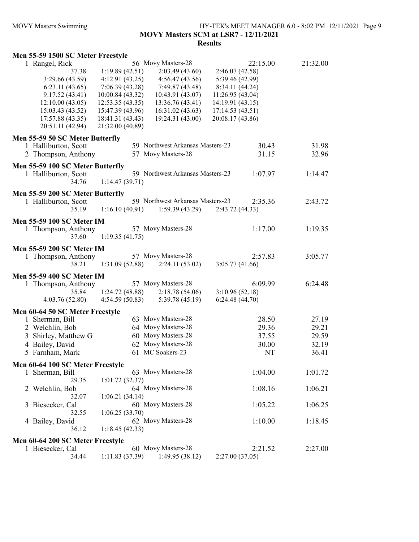## MOVY Masters Swimming HY-TEK's MEET MANAGER 6.0 - 8:02 PM 12/11/2021 Page 9 MOVY Masters SCM at LSR7 - 12/11/2021 Results

## Men 55-59 1500 SC Meter Freestyle

| 1 Rangel, Rick                   |                  | 56 Movy Masters-28               | 22:15.00         | 21:32.00    |
|----------------------------------|------------------|----------------------------------|------------------|-------------|
| 37.38                            | 1:19.89(42.51)   | 2:03.49(43.60)                   | 2:46.07 (42.58)  |             |
| 3:29.66 (43.59)                  | 4:12.91(43.25)   | 4:56.47(43.56)                   | 5:39.46 (42.99)  |             |
| 6:23.11(43.65)                   | 7:06.39(43.28)   | 7:49.87 (43.48)                  | 8:34.11 (44.24)  |             |
| 9:17.52(43.41)                   | 10:00.84 (43.32) | 10:43.91 (43.07)                 | 11:26.95 (43.04) |             |
| 12:10.00(43.05)                  | 12:53.35(43.35)  | 13:36.76 (43.41)                 | 14:19.91 (43.15) |             |
| 15:03.43 (43.52)                 | 15:47.39 (43.96) | 16:31.02(43.63)                  | 17:14.53(43.51)  |             |
| 17:57.88 (43.35)                 | 18:41.31 (43.43) | 19:24.31 (43.00)                 | 20:08.17 (43.86) |             |
| 20:51.11 (42.94)                 | 21:32.00 (40.89) |                                  |                  |             |
| Men 55-59 50 SC Meter Butterfly  |                  |                                  |                  |             |
| 1 Halliburton, Scott             |                  | 59 Northwest Arkansas Masters-23 | 30.43            | 31.98       |
| 2 Thompson, Anthony              |                  | 57 Movy Masters-28               | 31.15            | 32.96       |
|                                  |                  |                                  |                  |             |
| Men 55-59 100 SC Meter Butterfly |                  |                                  |                  |             |
| 1 Halliburton, Scott             |                  | 59 Northwest Arkansas Masters-23 | 1:07.97          | 1:14.47     |
| 34.76                            | 1:14.47(39.71)   |                                  |                  |             |
| Men 55-59 200 SC Meter Butterfly |                  |                                  |                  |             |
| 1 Halliburton, Scott             |                  | 59 Northwest Arkansas Masters-23 | 2:35.36          | 2:43.72     |
| 35.19                            | 1:16.10(40.91)   | 1:59.39(43.29)                   | 2:43.72(44.33)   |             |
| <b>Men 55-59 100 SC Meter IM</b> |                  |                                  |                  |             |
| 1 Thompson, Anthony              |                  | 57 Movy Masters-28               | 1:17.00          | 1:19.35     |
| 37.60                            | 1:19.35(41.75)   |                                  |                  |             |
| <b>Men 55-59 200 SC Meter IM</b> |                  |                                  |                  |             |
| 1 Thompson, Anthony              |                  | 57 Movy Masters-28               | 2:57.83          | 3:05.77     |
| 38.21                            | 1:31.09(52.88)   | 2:24.11(53.02)                   | 3:05.77(41.66)   |             |
| <b>Men 55-59 400 SC Meter IM</b> |                  |                                  |                  |             |
| 1 Thompson, Anthony              |                  | 57 Movy Masters-28               | 6:09.99          | 6:24.48     |
| 35.84                            | 1:24.72(48.88)   | 2:18.78(54.06)                   | 3:10.96(52.18)   |             |
| 4:03.76(52.80)                   | 4:54.59(50.83)   | 5:39.78 (45.19)                  | 6:24.48(44.70)   |             |
| Men 60-64 50 SC Meter Freestyle  |                  |                                  |                  |             |
| 1 Sherman, Bill                  |                  | 63 Movy Masters-28               | 28.50            | 27.19       |
| 2 Welchlin, Bob                  |                  | 64 Movy Masters-28               | 29.36            | 29.21       |
| 3 Shirley, Matthew G             |                  | 60 Movy Masters-28               | 37.55            | 29.59       |
| 4 Bailey, David                  |                  | 62 Movy Masters-28               |                  |             |
|                                  |                  | 61 MC Soakers-23                 | 30.00            | 32.19       |
| 5 Farnham, Mark                  |                  |                                  |                  | NT<br>36.41 |
| Men 60-64 100 SC Meter Freestyle |                  |                                  |                  |             |
| 1 Sherman, Bill                  |                  | 63 Movy Masters-28               | 1:04.00          | 1:01.72     |
| 29.35                            | 1:01.72(32.37)   |                                  |                  |             |
| 2 Welchlin, Bob                  |                  | 64 Movy Masters-28               | 1:08.16          | 1:06.21     |
| 32.07                            | 1:06.21(34.14)   |                                  |                  |             |
| 3 Biesecker, Cal                 |                  | 60 Movy Masters-28               | 1:05.22          | 1:06.25     |
| 32.55                            | 1:06.25(33.70)   |                                  |                  |             |
| 4 Bailey, David                  |                  | 62 Movy Masters-28               | 1:10.00          | 1:18.45     |
| 36.12                            | 1:18.45(42.33)   |                                  |                  |             |
| Men 60-64 200 SC Meter Freestyle |                  |                                  |                  |             |
| 1 Biesecker, Cal                 |                  | 60 Movy Masters-28               | 2:21.52          | 2:27.00     |
| 34.44                            | 1:11.83(37.39)   | 1:49.95 (38.12)                  | 2:27.00 (37.05)  |             |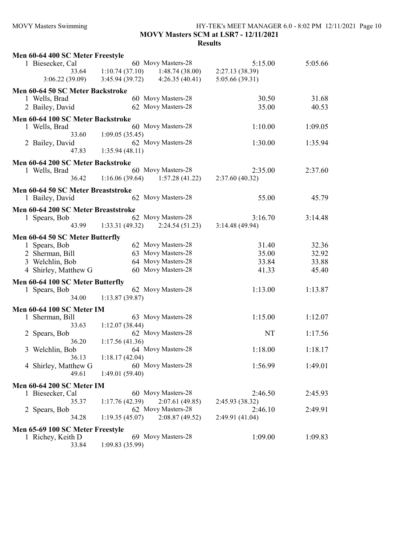# MOVY Masters Swimming HY-TEK's MEET MANAGER 6.0 - 8:02 PM 12/11/2021 Page 10 MOVY Masters SCM at LSR7 - 12/11/2021

| Men 60-64 400 SC Meter Freestyle    |                                   |                    |                 |         |
|-------------------------------------|-----------------------------------|--------------------|-----------------|---------|
| 1 Biesecker, Cal                    |                                   | 60 Movy Masters-28 | 5:15.00         | 5:05.66 |
| 33.64                               | 1:10.74(37.10)                    | 1:48.74(38.00)     | 2:27.13 (38.39) |         |
| 3:06.22(39.09)                      | 3:45.94(39.72)                    | 4:26.35(40.41)     | 5:05.66 (39.31) |         |
| Men 60-64 50 SC Meter Backstroke    |                                   |                    |                 |         |
| 1 Wells, Brad                       |                                   | 60 Movy Masters-28 | 30.50           | 31.68   |
| 2 Bailey, David                     |                                   | 62 Movy Masters-28 | 35.00           | 40.53   |
| Men 60-64 100 SC Meter Backstroke   |                                   |                    |                 |         |
| 1 Wells, Brad                       |                                   | 60 Movy Masters-28 | 1:10.00         | 1:09.05 |
| 33.60                               | 1:09.05(35.45)                    |                    |                 |         |
| 2 Bailey, David                     |                                   | 62 Movy Masters-28 | 1:30.00         | 1:35.94 |
| 47.83                               | 1:35.94(48.11)                    |                    |                 |         |
| Men 60-64 200 SC Meter Backstroke   |                                   |                    |                 |         |
| 1 Wells, Brad                       |                                   | 60 Movy Masters-28 | 2:35.00         | 2:37.60 |
| 36.42                               | $1:16.06(39.64)$ $1:57.28(41.22)$ |                    | 2:37.60(40.32)  |         |
|                                     |                                   |                    |                 |         |
| Men 60-64 50 SC Meter Breaststroke  |                                   |                    |                 |         |
| 1 Bailey, David                     |                                   | 62 Movy Masters-28 | 55.00           | 45.79   |
| Men 60-64 200 SC Meter Breaststroke |                                   |                    |                 |         |
| 1 Spears, Bob                       |                                   | 62 Movy Masters-28 | 3:16.70         | 3:14.48 |
| 43.99                               | 1:33.31(49.32)                    | 2:24.54(51.23)     | 3:14.48(49.94)  |         |
| Men 60-64 50 SC Meter Butterfly     |                                   |                    |                 |         |
| 1 Spears, Bob                       |                                   | 62 Movy Masters-28 | 31.40           | 32.36   |
| 2 Sherman, Bill                     |                                   | 63 Movy Masters-28 | 35.00           | 32.92   |
| 3 Welchlin, Bob                     |                                   | 64 Movy Masters-28 | 33.84           | 33.88   |
| 4 Shirley, Matthew G                |                                   | 60 Movy Masters-28 | 41.33           | 45.40   |
| Men 60-64 100 SC Meter Butterfly    |                                   |                    |                 |         |
| 1 Spears, Bob                       |                                   | 62 Movy Masters-28 | 1:13.00         | 1:13.87 |
| 34.00                               | 1:13.87(39.87)                    |                    |                 |         |
| <b>Men 60-64 100 SC Meter IM</b>    |                                   |                    |                 |         |
| 1 Sherman, Bill                     |                                   | 63 Movy Masters-28 | 1:15.00         | 1:12.07 |
| 33.63                               | 1:12.07(38.44)                    |                    |                 |         |
| 2 Spears, Bob                       |                                   | 62 Movy Masters-28 | NT              | 1:17.56 |
| 36.20                               | 1:17.56(41.36)                    |                    |                 |         |
| Welchlin, Bob<br>3                  |                                   | 64 Movy Masters-28 | 1:18.00         | 1:18.17 |
| 36.13                               | 1:18.17(42.04)                    |                    |                 |         |
| 4 Shirley, Matthew G                |                                   | 60 Movy Masters-28 | 1:56.99         | 1:49.01 |
| 49.61                               | 1:49.01(59.40)                    |                    |                 |         |
| <b>Men 60-64 200 SC Meter IM</b>    |                                   |                    |                 |         |
| 1 Biesecker, Cal                    |                                   | 60 Movy Masters-28 | 2:46.50         | 2:45.93 |
| 35.37                               | 1:17.76(42.39)                    | 2:07.61(49.85)     | 2:45.93 (38.32) |         |
| 2 Spears, Bob                       |                                   | 62 Movy Masters-28 | 2:46.10         | 2:49.91 |
| 34.28                               | 1:19.35(45.07)                    | 2:08.87(49.52)     | 2:49.91 (41.04) |         |
| Men 65-69 100 SC Meter Freestyle    |                                   |                    |                 |         |
| 1 Richey, Keith D                   |                                   | 69 Movy Masters-28 | 1:09.00         | 1:09.83 |
| 33.84                               | 1:09.83(35.99)                    |                    |                 |         |
|                                     |                                   |                    |                 |         |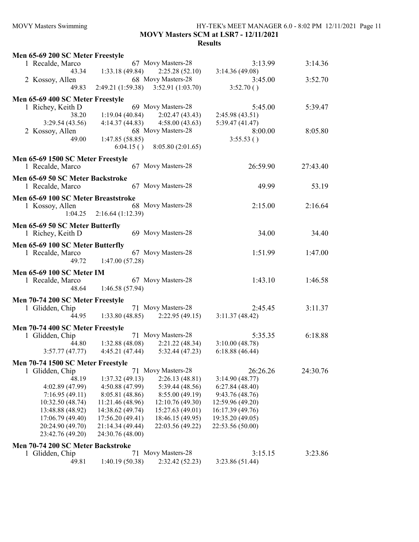## MOVY Masters Swimming HY-TEK's MEET MANAGER 6.0 - 8:02 PM 12/11/2021 Page 11 MOVY Masters SCM at LSR7 - 12/11/2021 Results

| Men 65-69 200 SC Meter Freestyle    |                                                    |                                   |                  |          |
|-------------------------------------|----------------------------------------------------|-----------------------------------|------------------|----------|
| 1 Recalde, Marco                    |                                                    | 67 Movy Masters-28                | 3:13.99          | 3:14.36  |
|                                     | 43.34 1:33.18 (49.84)                              | 2:25.28(52.10)                    | 3:14.36(49.08)   |          |
| 2 Kossoy, Allen                     |                                                    | 68 Movy Masters-28                | 3:45.00          | 3:52.70  |
| 49.83                               | 2:49.21 (1:59.38)                                  | 3:52.91(1:03.70)                  | 3:52.70()        |          |
|                                     |                                                    |                                   |                  |          |
| Men 65-69 400 SC Meter Freestyle    |                                                    | 69 Movy Masters-28                | 5:45.00          | 5:39.47  |
| 1 Richey, Keith D<br>38.20          | 1:19.04(40.84)                                     |                                   |                  |          |
|                                     |                                                    | 2:02.47(43.43)                    | 2:45.98(43.51)   |          |
| 3:29.54(43.56)                      |                                                    | $4:14.37(44.83)$ $4:58.00(43.63)$ | 5:39.47(41.47)   |          |
| 2 Kossoy, Allen                     |                                                    | 68 Movy Masters-28                | 8:00.00          | 8:05.80  |
| 49.00                               | 1:47.85 (58.85)                                    |                                   | 3:55.53()        |          |
|                                     |                                                    | $6:04.15$ () $8:05.80$ (2:01.65)  |                  |          |
| Men 65-69 1500 SC Meter Freestyle   |                                                    |                                   |                  |          |
| 1 Recalde, Marco                    |                                                    | 67 Movy Masters-28                | 26:59.90         | 27:43.40 |
| Men 65-69 50 SC Meter Backstroke    |                                                    |                                   |                  |          |
| 1 Recalde, Marco                    |                                                    | 67 Movy Masters-28                | 49.99            | 53.19    |
|                                     |                                                    |                                   |                  |          |
| Men 65-69 100 SC Meter Breaststroke |                                                    |                                   |                  |          |
| 1 Kossoy, Allen                     |                                                    | 68 Movy Masters-28                | 2:15.00          | 2:16.64  |
|                                     | $1:04.25$ $2:16.64$ (1:12.39)                      |                                   |                  |          |
| Men 65-69 50 SC Meter Butterfly     |                                                    |                                   |                  |          |
| 1 Richey, Keith D                   |                                                    | 69 Movy Masters-28                | 34.00            | 34.40    |
|                                     |                                                    |                                   |                  |          |
| Men 65-69 100 SC Meter Butterfly    |                                                    | 67 Movy Masters-28                |                  |          |
| 1 Recalde, Marco                    | 49.72 1:47.00 (57.28)                              |                                   | 1:51.99          | 1:47.00  |
|                                     |                                                    |                                   |                  |          |
| <b>Men 65-69 100 SC Meter IM</b>    |                                                    |                                   |                  |          |
| 1 Recalde, Marco                    |                                                    | 67 Movy Masters-28                | 1:43.10          | 1:46.58  |
|                                     | 48.64 1:46.58 (57.94)                              |                                   |                  |          |
| Men 70-74 200 SC Meter Freestyle    |                                                    |                                   |                  |          |
| 1 Glidden, Chip                     |                                                    | 71 Movy Masters-28                | 2:45.45          | 3:11.37  |
|                                     | $\overline{44.95}$ 1:33.80 (48.85) 2:22.95 (49.15) |                                   | 3:11.37(48.42)   |          |
|                                     |                                                    |                                   |                  |          |
| Men 70-74 400 SC Meter Freestyle    |                                                    |                                   |                  |          |
| 1 Glidden, Chip                     |                                                    | 71 Movy Masters-28                | 5:35.35          | 6:18.88  |
|                                     | $\hat{4}4.80$ 1:32.88 (48.08) 2:21.22 (48.34)      |                                   | 3:10.00(48.78)   |          |
| 3:57.77(47.77)                      | 4:45.21 (47.44)                                    | 5:32.44(47.23)                    | 6:18.88(46.44)   |          |
| Men 70-74 1500 SC Meter Freestyle   |                                                    |                                   |                  |          |
| 1 Glidden, Chip                     |                                                    | 71 Movy Masters-28                | 26:26.26         | 24:30.76 |
| 48.19                               | 1:37.32(49.13)                                     | 2:26.13(48.81)                    | 3:14.90(48.77)   |          |
| 4:02.89 (47.99)                     | 4:50.88 (47.99)                                    | 5:39.44 (48.56)                   | 6:27.84(48.40)   |          |
| 7:16.95(49.11)                      | 8:05.81 (48.86)                                    | 8:55.00(49.19)                    | 9:43.76(48.76)   |          |
| 10:32.50 (48.74)                    | 11:21.46 (48.96)                                   | 12:10.76 (49.30)                  | 12:59.96 (49.20) |          |
| 13:48.88 (48.92)                    | 14:38.62 (49.74)                                   | 15:27.63 (49.01)                  | 16:17.39 (49.76) |          |
| 17:06.79 (49.40)                    | 17:56.20 (49.41)                                   | 18:46.15 (49.95)                  | 19:35.20 (49.05) |          |
| 20:24.90 (49.70)                    | 21:14.34 (49.44)                                   | 22:03.56 (49.22)                  | 22:53.56 (50.00) |          |
| 23:42.76 (49.20)                    | 24:30.76 (48.00)                                   |                                   |                  |          |
| Men 70-74 200 SC Meter Backstroke   |                                                    |                                   |                  |          |
| 1 Glidden, Chip                     |                                                    | 71 Movy Masters-28                | 3:15.15          | 3:23.86  |
| 49.81                               | 1:40.19 (50.38)                                    | 2:32.42 (52.23)                   | 3:23.86 (51.44)  |          |
|                                     |                                                    |                                   |                  |          |